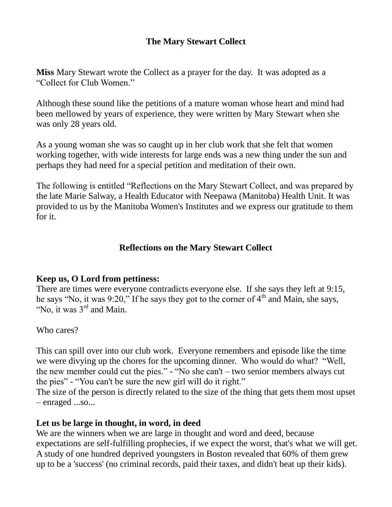# **The Mary Stewart Collect**

**Miss** Mary Stewart wrote the Collect as a prayer for the day. It was adopted as a "Collect for Club Women."

Although these sound like the petitions of a mature woman whose heart and mind had been mellowed by years of experience, they were written by Mary Stewart when she was only 28 years old.

As a young woman she was so caught up in her club work that she felt that women working together, with wide interests for large ends was a new thing under the sun and perhaps they had need for a special petition and meditation of their own.

The following is entitled "Reflections on the Mary Stewart Collect, and was prepared by the late Marie Salway, a Health Educator with Neepawa (Manitoba) Health Unit. It was provided to us by the Manitoba Women's Institutes and we express our gratitude to them for it.

## **Reflections on the Mary Stewart Collect**

## **Keep us, O Lord from pettiness:**

There are times were everyone contradicts everyone else. If she says they left at 9:15, he says "No, it was 9:20," If he says they got to the corner of  $4<sup>th</sup>$  and Main, she says, "No, it was 3rd and Main.

Who cares?

This can spill over into our club work. Everyone remembers and episode like the time we were divying up the chores for the upcoming dinner. Who would do what? "Well, the new member could cut the pies." - "No she can't – two senior members always cut the pies" - "You can't be sure the new girl will do it right."

The size of the person is directly related to the size of the thing that gets them most upset – enraged ...so...

## **Let us be large in thought, in word, in deed**

We are the winners when we are large in thought and word and deed, because expectations are self-fulfilling prophecies, if we expect the worst, that's what we will get. A study of one hundred deprived youngsters in Boston revealed that 60% of them grew up to be a 'success' (no criminal records, paid their taxes, and didn't beat up their kids).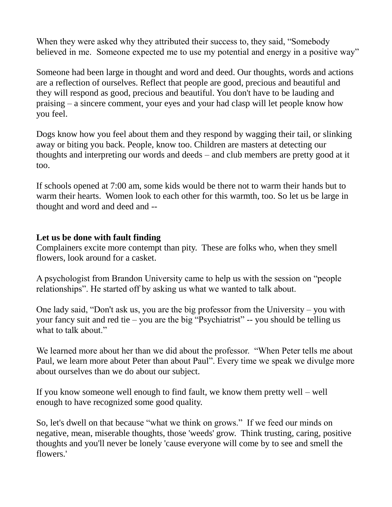When they were asked why they attributed their success to, they said, "Somebody believed in me. Someone expected me to use my potential and energy in a positive way"

Someone had been large in thought and word and deed. Our thoughts, words and actions are a reflection of ourselves. Reflect that people are good, precious and beautiful and they will respond as good, precious and beautiful. You don't have to be lauding and praising – a sincere comment, your eyes and your had clasp will let people know how you feel.

Dogs know how you feel about them and they respond by wagging their tail, or slinking away or biting you back. People, know too. Children are masters at detecting our thoughts and interpreting our words and deeds – and club members are pretty good at it too.

If schools opened at 7:00 am, some kids would be there not to warm their hands but to warm their hearts. Women look to each other for this warmth, too. So let us be large in thought and word and deed and --

## **Let us be done with fault finding**

Complainers excite more contempt than pity. These are folks who, when they smell flowers, look around for a casket.

A psychologist from Brandon University came to help us with the session on "people relationships". He started off by asking us what we wanted to talk about.

One lady said, "Don't ask us, you are the big professor from the University – you with your fancy suit and red tie – you are the big "Psychiatrist" -- you should be telling us what to talk about."

We learned more about her than we did about the professor. "When Peter tells me about Paul, we learn more about Peter than about Paul". Every time we speak we divulge more about ourselves than we do about our subject.

If you know someone well enough to find fault, we know them pretty well – well enough to have recognized some good quality.

So, let's dwell on that because "what we think on grows." If we feed our minds on negative, mean, miserable thoughts, those 'weeds' grow. Think trusting, caring, positive thoughts and you'll never be lonely 'cause everyone will come by to see and smell the flowers.'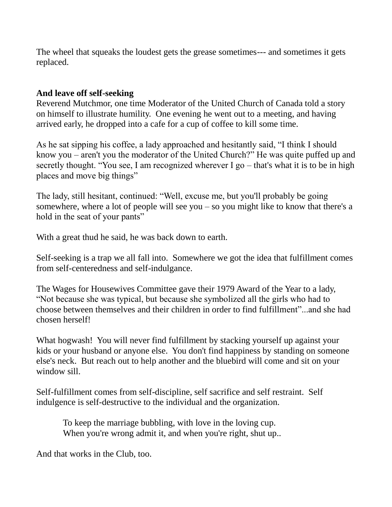The wheel that squeaks the loudest gets the grease sometimes--- and sometimes it gets replaced.

## **And leave off self-seeking**

Reverend Mutchmor, one time Moderator of the United Church of Canada told a story on himself to illustrate humility. One evening he went out to a meeting, and having arrived early, he dropped into a cafe for a cup of coffee to kill some time.

As he sat sipping his coffee, a lady approached and hesitantly said, "I think I should know you – aren't you the moderator of the United Church?" He was quite puffed up and secretly thought. "You see, I am recognized wherever I go – that's what it is to be in high places and move big things"

The lady, still hesitant, continued: "Well, excuse me, but you'll probably be going somewhere, where a lot of people will see you – so you might like to know that there's a hold in the seat of your pants"

With a great thud he said, he was back down to earth.

Self-seeking is a trap we all fall into. Somewhere we got the idea that fulfillment comes from self-centeredness and self-indulgance.

The Wages for Housewives Committee gave their 1979 Award of the Year to a lady, "Not because she was typical, but because she symbolized all the girls who had to choose between themselves and their children in order to find fulfillment"...and she had chosen herself!

What hogwash! You will never find fulfillment by stacking yourself up against your kids or your husband or anyone else. You don't find happiness by standing on someone else's neck. But reach out to help another and the bluebird will come and sit on your window sill.

Self-fulfillment comes from self-discipline, self sacrifice and self restraint. Self indulgence is self-destructive to the individual and the organization.

 To keep the marriage bubbling, with love in the loving cup. When you're wrong admit it, and when you're right, shut up...

And that works in the Club, too.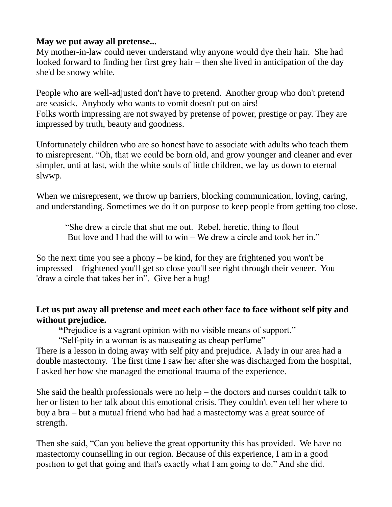## **May we put away all pretense...**

My mother-in-law could never understand why anyone would dye their hair. She had looked forward to finding her first grey hair – then she lived in anticipation of the day she'd be snowy white.

People who are well-adjusted don't have to pretend. Another group who don't pretend are seasick. Anybody who wants to vomit doesn't put on airs! Folks worth impressing are not swayed by pretense of power, prestige or pay. They are impressed by truth, beauty and goodness.

Unfortunately children who are so honest have to associate with adults who teach them to misrepresent. "Oh, that we could be born old, and grow younger and cleaner and ever simpler, unti at last, with the white souls of little children, we lay us down to eternal slwwp.

When we misrepresent, we throw up barriers, blocking communication, loving, caring, and understanding. Sometimes we do it on purpose to keep people from getting too close.

 "She drew a circle that shut me out. Rebel, heretic, thing to flout But love and I had the will to win – We drew a circle and took her in."

So the next time you see a phony – be kind, for they are frightened you won't be impressed – frightened you'll get so close you'll see right through their veneer. You 'draw a circle that takes her in". Give her a hug!

# **Let us put away all pretense and meet each other face to face without self pity and without prejudice.**

 **"**Prejudice is a vagrant opinion with no visible means of support."

"Self-pity in a woman is as nauseating as cheap perfume"

There is a lesson in doing away with self pity and prejudice. A lady in our area had a double mastectomy. The first time I saw her after she was discharged from the hospital, I asked her how she managed the emotional trauma of the experience.

She said the health professionals were no help – the doctors and nurses couldn't talk to her or listen to her talk about this emotional crisis. They couldn't even tell her where to buy a bra – but a mutual friend who had had a mastectomy was a great source of strength.

Then she said, "Can you believe the great opportunity this has provided. We have no mastectomy counselling in our region. Because of this experience, I am in a good position to get that going and that's exactly what I am going to do." And she did.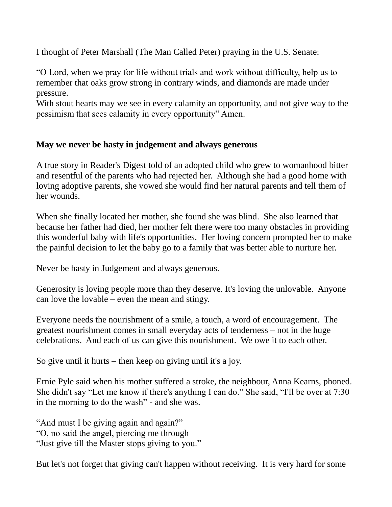I thought of Peter Marshall (The Man Called Peter) praying in the U.S. Senate:

"O Lord, when we pray for life without trials and work without difficulty, help us to remember that oaks grow strong in contrary winds, and diamonds are made under pressure.

With stout hearts may we see in every calamity an opportunity, and not give way to the pessimism that sees calamity in every opportunity" Amen.

# **May we never be hasty in judgement and always generous**

A true story in Reader's Digest told of an adopted child who grew to womanhood bitter and resentful of the parents who had rejected her. Although she had a good home with loving adoptive parents, she vowed she would find her natural parents and tell them of her wounds.

When she finally located her mother, she found she was blind. She also learned that because her father had died, her mother felt there were too many obstacles in providing this wonderful baby with life's opportunities. Her loving concern prompted her to make the painful decision to let the baby go to a family that was better able to nurture her.

Never be hasty in Judgement and always generous.

Generosity is loving people more than they deserve. It's loving the unlovable. Anyone can love the lovable – even the mean and stingy.

Everyone needs the nourishment of a smile, a touch, a word of encouragement. The greatest nourishment comes in small everyday acts of tenderness – not in the huge celebrations. And each of us can give this nourishment. We owe it to each other.

So give until it hurts – then keep on giving until it's a joy.

Ernie Pyle said when his mother suffered a stroke, the neighbour, Anna Kearns, phoned. She didn't say "Let me know if there's anything I can do." She said, "I'll be over at 7:30 in the morning to do the wash" - and she was.

"And must I be giving again and again?" "O, no said the angel, piercing me through "Just give till the Master stops giving to you."

But let's not forget that giving can't happen without receiving. It is very hard for some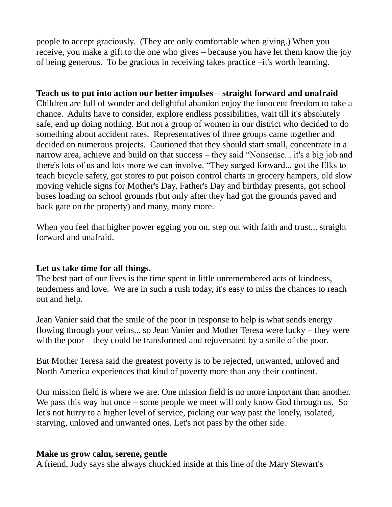people to accept graciously. (They are only comfortable when giving.) When you receive, you make a gift to the one who gives – because you have let them know the joy of being generous. To be gracious in receiving takes practice –it's worth learning.

#### **Teach us to put into action our better impulses – straight forward and unafraid**

Children are full of wonder and delightful abandon enjoy the innocent freedom to take a chance. Adults have to consider, explore endless possibilities, wait till it's absolutely safe, end up doing nothing. But not a group of women in our district who decided to do something about accident rates. Representatives of three groups came together and decided on numerous projects. Cautioned that they should start small, concentrate in a narrow area, achieve and build on that success – they said "Nonsense... it's a big job and there's lots of us and lots more we can involve. "They surged forward... got the Elks to teach bicycle safety, got stores to put poison control charts in grocery hampers, old slow moving vehicle signs for Mother's Day, Father's Day and birthday presents, got school buses loading on school grounds (but only after they had got the grounds paved and back gate on the property) and many, many more.

When you feel that higher power egging you on, step out with faith and trust... straight forward and unafraid.

#### **Let us take time for all things.**

The best part of our lives is the time spent in little unremembered acts of kindness, tenderness and love. We are in such a rush today, it's easy to miss the chances to reach out and help.

Jean Vanier said that the smile of the poor in response to help is what sends energy flowing through your veins... so Jean Vanier and Mother Teresa were lucky – they were with the poor – they could be transformed and rejuvenated by a smile of the poor.

But Mother Teresa said the greatest poverty is to be rejected, unwanted, unloved and North America experiences that kind of poverty more than any their continent.

Our mission field is where we are. One mission field is no more important than another. We pass this way but once – some people we meet will only know God through us. So let's not hurry to a higher level of service, picking our way past the lonely, isolated, starving, unloved and unwanted ones. Let's not pass by the other side.

#### **Make us grow calm, serene, gentle**

A friend, Judy says she always chuckled inside at this line of the Mary Stewart's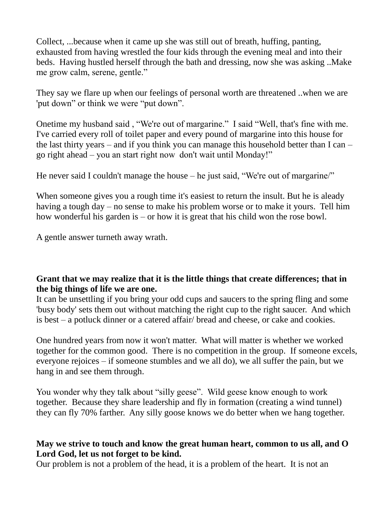Collect, ...because when it came up she was still out of breath, huffing, panting, exhausted from having wrestled the four kids through the evening meal and into their beds. Having hustled herself through the bath and dressing, now she was asking ..Make me grow calm, serene, gentle."

They say we flare up when our feelings of personal worth are threatened ..when we are 'put down" or think we were "put down".

Onetime my husband said , "We're out of margarine." I said "Well, that's fine with me. I've carried every roll of toilet paper and every pound of margarine into this house for the last thirty years – and if you think you can manage this household better than I can – go right ahead – you an start right now don't wait until Monday!"

He never said I couldn't manage the house – he just said, "We're out of margarine/"

When someone gives you a rough time it's easiest to return the insult. But he is aleady having a tough day – no sense to make his problem worse or to make it yours. Tell him how wonderful his garden is – or how it is great that his child won the rose bowl.

A gentle answer turneth away wrath.

## **Grant that we may realize that it is the little things that create differences; that in the big things of life we are one.**

It can be unsettling if you bring your odd cups and saucers to the spring fling and some 'busy body' sets them out without matching the right cup to the right saucer. And which is best – a potluck dinner or a catered affair/ bread and cheese, or cake and cookies.

One hundred years from now it won't matter. What will matter is whether we worked together for the common good. There is no competition in the group. If someone excels, everyone rejoices – if someone stumbles and we all do), we all suffer the pain, but we hang in and see them through.

You wonder why they talk about "silly geese". Wild geese know enough to work together. Because they share leadership and fly in formation (creating a wind tunnel) they can fly 70% farther. Any silly goose knows we do better when we hang together.

## **May we strive to touch and know the great human heart, common to us all, and O Lord God, let us not forget to be kind.**

Our problem is not a problem of the head, it is a problem of the heart. It is not an